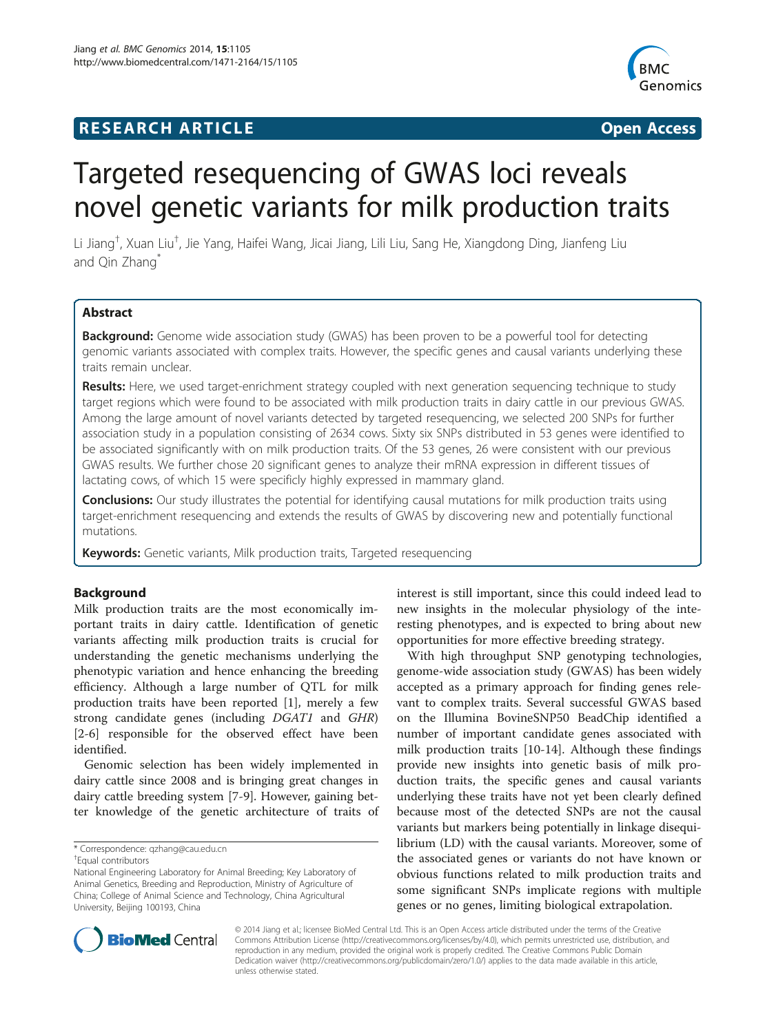## **RESEARCH ARTICLE Example 2014 CONSIDERING CONSIDERING CONSIDERING CONSIDERING CONSIDERING CONSIDERING CONSIDERING CONSIDERING CONSIDERING CONSIDERING CONSIDERING CONSIDERING CONSIDERING CONSIDERING CONSIDERING CONSIDE**



# Targeted resequencing of GWAS loci reveals novel genetic variants for milk production traits

Li Jiang<sup>†</sup>, Xuan Liu<sup>†</sup>, Jie Yang, Haifei Wang, Jicai Jiang, Lili Liu, Sang He, Xiangdong Ding, Jianfeng Liu and Qin Zhang<sup>\*</sup>

## Abstract

Background: Genome wide association study (GWAS) has been proven to be a powerful tool for detecting genomic variants associated with complex traits. However, the specific genes and causal variants underlying these traits remain unclear.

Results: Here, we used target-enrichment strategy coupled with next generation sequencing technique to study target regions which were found to be associated with milk production traits in dairy cattle in our previous GWAS. Among the large amount of novel variants detected by targeted resequencing, we selected 200 SNPs for further association study in a population consisting of 2634 cows. Sixty six SNPs distributed in 53 genes were identified to be associated significantly with on milk production traits. Of the 53 genes, 26 were consistent with our previous GWAS results. We further chose 20 significant genes to analyze their mRNA expression in different tissues of lactating cows, of which 15 were specificly highly expressed in mammary gland.

**Conclusions:** Our study illustrates the potential for identifying causal mutations for milk production traits using target-enrichment resequencing and extends the results of GWAS by discovering new and potentially functional mutations.

**Keywords:** Genetic variants, Milk production traits, Targeted resequencing

## Background

Milk production traits are the most economically important traits in dairy cattle. Identification of genetic variants affecting milk production traits is crucial for understanding the genetic mechanisms underlying the phenotypic variation and hence enhancing the breeding efficiency. Although a large number of QTL for milk production traits have been reported [[1\]](#page-7-0), merely a few strong candidate genes (including DGAT1 and GHR) [[2-6](#page-8-0)] responsible for the observed effect have been identified.

Genomic selection has been widely implemented in dairy cattle since 2008 and is bringing great changes in dairy cattle breeding system [\[7](#page-8-0)-[9\]](#page-8-0). However, gaining better knowledge of the genetic architecture of traits of interest is still important, since this could indeed lead to new insights in the molecular physiology of the interesting phenotypes, and is expected to bring about new opportunities for more effective breeding strategy.

With high throughput SNP genotyping technologies, genome-wide association study (GWAS) has been widely accepted as a primary approach for finding genes relevant to complex traits. Several successful GWAS based on the Illumina BovineSNP50 BeadChip identified a number of important candidate genes associated with milk production traits [\[10-14](#page-8-0)]. Although these findings provide new insights into genetic basis of milk production traits, the specific genes and causal variants underlying these traits have not yet been clearly defined because most of the detected SNPs are not the causal variants but markers being potentially in linkage disequilibrium (LD) with the causal variants. Moreover, some of the associated genes or variants do not have known or obvious functions related to milk production traits and some significant SNPs implicate regions with multiple genes or no genes, limiting biological extrapolation.



© 2014 Jiang et al.; licensee BioMed Central Ltd. This is an Open Access article distributed under the terms of the Creative Commons Attribution License [\(http://creativecommons.org/licenses/by/4.0\)](http://creativecommons.org/licenses/by/4.0), which permits unrestricted use, distribution, and reproduction in any medium, provided the original work is properly credited. The Creative Commons Public Domain Dedication waiver [\(http://creativecommons.org/publicdomain/zero/1.0/](http://creativecommons.org/publicdomain/zero/1.0/)) applies to the data made available in this article, unless otherwise stated.

<sup>\*</sup> Correspondence: [qzhang@cau.edu.cn](mailto:qzhang@cau.edu.cn) †

Equal contributors

National Engineering Laboratory for Animal Breeding; Key Laboratory of Animal Genetics, Breeding and Reproduction, Ministry of Agriculture of China; College of Animal Science and Technology, China Agricultural University, Beijing 100193, China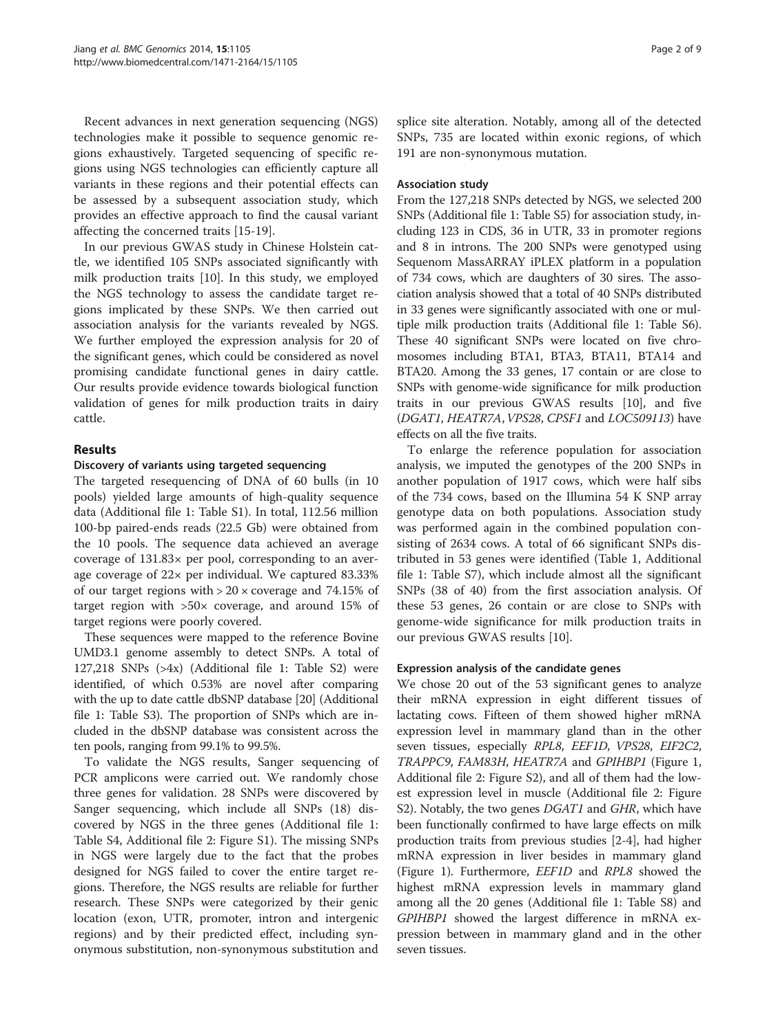Recent advances in next generation sequencing (NGS) technologies make it possible to sequence genomic regions exhaustively. Targeted sequencing of specific regions using NGS technologies can efficiently capture all variants in these regions and their potential effects can be assessed by a subsequent association study, which provides an effective approach to find the causal variant affecting the concerned traits [[15-19\]](#page-8-0).

In our previous GWAS study in Chinese Holstein cattle, we identified 105 SNPs associated significantly with milk production traits [[10](#page-8-0)]. In this study, we employed the NGS technology to assess the candidate target regions implicated by these SNPs. We then carried out association analysis for the variants revealed by NGS. We further employed the expression analysis for 20 of the significant genes, which could be considered as novel promising candidate functional genes in dairy cattle. Our results provide evidence towards biological function validation of genes for milk production traits in dairy cattle.

## Results

## Discovery of variants using targeted sequencing

The targeted resequencing of DNA of 60 bulls (in 10 pools) yielded large amounts of high-quality sequence data (Additional file [1](#page-7-0): Table S1). In total, 112.56 million 100-bp paired-ends reads (22.5 Gb) were obtained from the 10 pools. The sequence data achieved an average coverage of 131.83× per pool, corresponding to an average coverage of 22× per individual. We captured 83.33% of our target regions with  $> 20 \times$  coverage and 74.15% of target region with  $>50\times$  coverage, and around 15% of target regions were poorly covered.

These sequences were mapped to the reference Bovine UMD3.1 genome assembly to detect SNPs. A total of 127,218 SNPs (>4x) (Additional file [1:](#page-7-0) Table S2) were identified, of which 0.53% are novel after comparing with the up to date cattle dbSNP database [[20](#page-8-0)] (Additional file [1:](#page-7-0) Table S3). The proportion of SNPs which are included in the dbSNP database was consistent across the ten pools, ranging from 99.1% to 99.5%.

To validate the NGS results, Sanger sequencing of PCR amplicons were carried out. We randomly chose three genes for validation. 28 SNPs were discovered by Sanger sequencing, which include all SNPs (18) discovered by NGS in the three genes (Additional file [1](#page-7-0): Table S4, Additional file [2](#page-7-0): Figure S1). The missing SNPs in NGS were largely due to the fact that the probes designed for NGS failed to cover the entire target regions. Therefore, the NGS results are reliable for further research. These SNPs were categorized by their genic location (exon, UTR, promoter, intron and intergenic regions) and by their predicted effect, including synonymous substitution, non-synonymous substitution and splice site alteration. Notably, among all of the detected SNPs, 735 are located within exonic regions, of which 191 are non-synonymous mutation.

#### Association study

From the 127,218 SNPs detected by NGS, we selected 200 SNPs (Additional file [1](#page-7-0): Table S5) for association study, including 123 in CDS, 36 in UTR, 33 in promoter regions and 8 in introns. The 200 SNPs were genotyped using Sequenom MassARRAY iPLEX platform in a population of 734 cows, which are daughters of 30 sires. The association analysis showed that a total of 40 SNPs distributed in 33 genes were significantly associated with one or multiple milk production traits (Additional file [1:](#page-7-0) Table S6). These 40 significant SNPs were located on five chromosomes including BTA1, BTA3, BTA11, BTA14 and BTA20. Among the 33 genes, 17 contain or are close to SNPs with genome-wide significance for milk production traits in our previous GWAS results [\[10\]](#page-8-0), and five (DGAT1, HEATR7A,VPS28, CPSF1 and LOC509113) have effects on all the five traits.

To enlarge the reference population for association analysis, we imputed the genotypes of the 200 SNPs in another population of 1917 cows, which were half sibs of the 734 cows, based on the Illumina 54 K SNP array genotype data on both populations. Association study was performed again in the combined population consisting of 2634 cows. A total of 66 significant SNPs distributed in 53 genes were identified (Table [1,](#page-2-0) Additional file [1](#page-7-0): Table S7), which include almost all the significant SNPs (38 of 40) from the first association analysis. Of these 53 genes, 26 contain or are close to SNPs with genome-wide significance for milk production traits in our previous GWAS results [\[10](#page-8-0)].

## Expression analysis of the candidate genes

We chose 20 out of the 53 significant genes to analyze their mRNA expression in eight different tissues of lactating cows. Fifteen of them showed higher mRNA expression level in mammary gland than in the other seven tissues, especially RPL8, EEF1D, VPS28, EIF2C2, TRAPPC9, FAM83H, HEATR7A and GPIHBP1 (Figure [1](#page-4-0), Additional file [2](#page-7-0): Figure S2), and all of them had the lowest expression level in muscle (Additional file [2:](#page-7-0) Figure S2). Notably, the two genes *DGAT1* and *GHR*, which have been functionally confirmed to have large effects on milk production traits from previous studies [\[2](#page-8-0)-[4\]](#page-8-0), had higher mRNA expression in liver besides in mammary gland (Figure [1](#page-4-0)). Furthermore, EEF1D and RPL8 showed the highest mRNA expression levels in mammary gland among all the 20 genes (Additional file [1](#page-7-0): Table S8) and GPIHBP1 showed the largest difference in mRNA expression between in mammary gland and in the other seven tissues.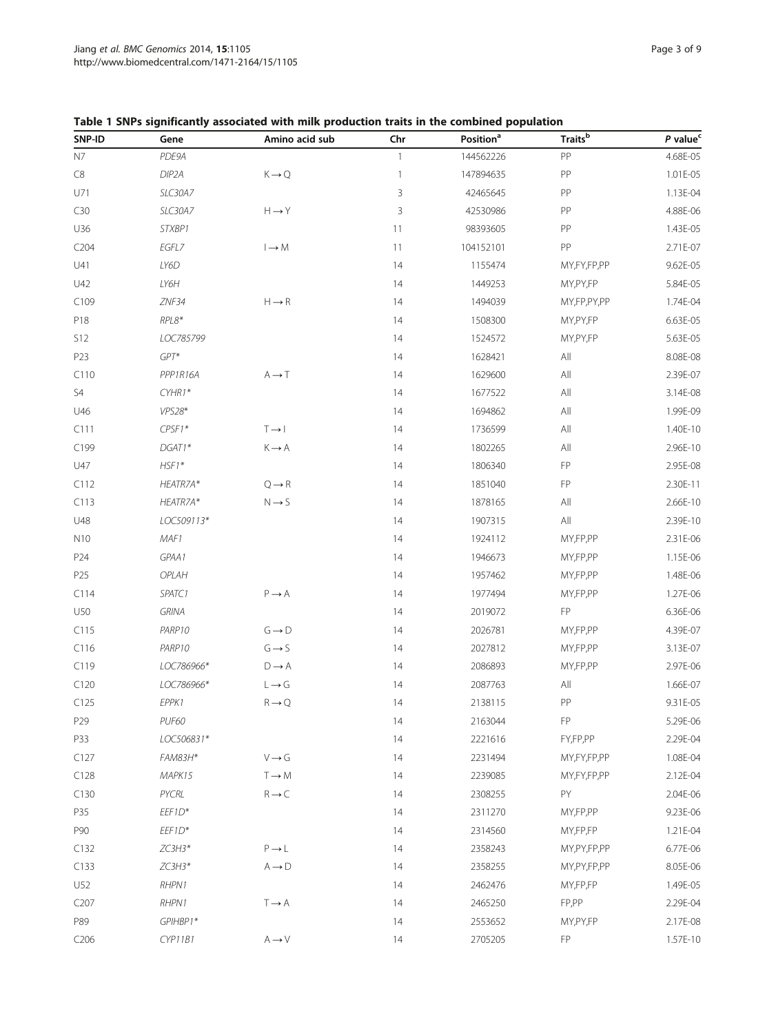<span id="page-2-0"></span>

|  | Table 1 SNPs significantly associated with milk production traits in the combined population |  |  |  |  |  |
|--|----------------------------------------------------------------------------------------------|--|--|--|--|--|
|--|----------------------------------------------------------------------------------------------|--|--|--|--|--|

| SNP-ID           | Gene         | Amino acid sub                          | Chr          | Position <sup>a</sup> | <b>Traits</b> <sup>b</sup> | P value <sup>c</sup> |
|------------------|--------------|-----------------------------------------|--------------|-----------------------|----------------------------|----------------------|
| N7               | PDE9A        |                                         | $\mathbf{1}$ | 144562226             | ${\sf PP}$                 | 4.68E-05             |
| C8               | DIP2A        | $K \rightarrow Q$                       | $\mathbf{1}$ | 147894635             | PP                         | 1.01E-05             |
| U71              | SLC30A7      |                                         | 3            | 42465645              | PP                         | 1.13E-04             |
| C30              | SLC30A7      | $H \rightarrow Y$                       | 3            | 42530986              | PP                         | 4.88E-06             |
| U36              | STXBP1       |                                         | 11           | 98393605              | PP                         | 1.43E-05             |
| C <sub>204</sub> | EGFL7        | $I \rightarrow M$                       | 11           | 104152101             | PP                         | 2.71E-07             |
| U41              | LY6D         |                                         | 14           | 1155474               | MY,FY,FP,PP                | 9.62E-05             |
| U42              | LY6H         |                                         | 14           | 1449253               | MY, PY, FP                 | 5.84E-05             |
| C109             | ZNF34        | $H \rightarrow R$                       | 14           | 1494039               | MY,FP,PY,PP                | 1.74E-04             |
| P18              | $RPL8*$      |                                         | 14           | 1508300               | MY, PY, FP                 | 6.63E-05             |
| S12              | LOC785799    |                                         | 14           | 1524572               | MY, PY, FP                 | 5.63E-05             |
| P23              | $GPT^*$      |                                         | 14           | 1628421               | All                        | 8.08E-08             |
| C110             | PPP1R16A     | $A \rightarrow T$                       | 14           | 1629600               | All                        | 2.39E-07             |
| S <sub>4</sub>   | CYHR1*       |                                         | 14           | 1677522               | All                        | 3.14E-08             |
| U46              | VPS28*       |                                         | 14           | 1694862               | All                        | 1.99E-09             |
| C111             | $CPSF1*$     | $T \rightarrow 1$                       | 14           | 1736599               | All                        | 1.40E-10             |
| C199             | DGAT1*       | $K \longrightarrow A$                   | 14           | 1802265               | All                        | 2.96E-10             |
| U47              | $HSF1*$      |                                         | 14           | 1806340               | FP                         | 2.95E-08             |
| C112             | HEATR7A*     | $\textsf{Q}\,{\rightarrow}\,\textsf{R}$ | 14           | 1851040               | FP                         | 2.30E-11             |
| C113             | HEATR7A*     | $N \rightarrow S$                       | 14           | 1878165               | All                        | 2.66E-10             |
| U48              | LOC509113*   |                                         | 14           | 1907315               | All                        | 2.39E-10             |
| N10              | MAF1         |                                         | 14           | 1924112               | MY,FP,PP                   | 2.31E-06             |
| P24              | GPAA1        |                                         | 14           | 1946673               | MY,FP,PP                   | 1.15E-06             |
| P <sub>25</sub>  | OPLAH        |                                         | 14           | 1957462               | MY,FP,PP                   | 1.48E-06             |
| C114             | SPATC1       | $P \rightarrow A$                       | 14           | 1977494               | MY,FP,PP                   | 1.27E-06             |
| U50              | <b>GRINA</b> |                                         | 14           | 2019072               | FP                         | 6.36E-06             |
| C115             | PARP10       | $G \rightarrow D$                       | 14           | 2026781               | MY,FP,PP                   | 4.39E-07             |
| C116             | PARP10       | $G \rightarrow S$                       | 14           | 2027812               | MY,FP,PP                   | 3.13E-07             |
| C119             | LOC786966*   | $D \rightarrow A$                       | 14           | 2086893               | MY,FP,PP                   | 2.97E-06             |
| C <sub>120</sub> | LOC786966*   | $L \rightarrow G$                       | 14           | 2087763               | All                        | 1.66E-07             |
| C125             | EPPK1        | $R \rightarrow Q$                       | 14           | 2138115               | PP                         | 9.31E-05             |
| P29              | PUF60        |                                         | 14           | 2163044               | FP                         | 5.29E-06             |
| P33              | LOC506831*   |                                         | 14           | 2221616               | FY,FP,PP                   | 2.29E-04             |
| C127             | FAM83H*      | $V \rightarrow G$                       | 14           | 2231494               | MY,FY,FP,PP                | 1.08E-04             |
| C128             | MAPK15       | $T \rightarrow M$                       | 14           | 2239085               | MY,FY,FP,PP                | 2.12E-04             |
| C130             | PYCRL        | $R \rightarrow C$                       | 14           | 2308255               | PY                         | 2.04E-06             |
| P35              | $EEF1D*$     |                                         | 14           | 2311270               | MY,FP,PP                   | 9.23E-06             |
| P90              | EEF1D*       |                                         | 14           | 2314560               | MY,FP,FP                   | 1.21E-04             |
| C132             | $ZC3H3*$     | $P \rightarrow L$                       | 14           | 2358243               | MY, PY, FP, PP             | 6.77E-06             |
| C133             | $ZC3H3*$     | $A \rightarrow D$                       | 14           | 2358255               | MY, PY, FP, PP             | 8.05E-06             |
| U52              | RHPN1        |                                         | 14           | 2462476               | MY,FP,FP                   | 1.49E-05             |
| C <sub>207</sub> | RHPN1        | $T \rightarrow A$                       | 14           | 2465250               | FP,PP                      | 2.29E-04             |
| P89              | GPIHBP1*     |                                         | 14           | 2553652               | MY, PY, FP                 | 2.17E-08             |
| C206             | CYP11B1      | $\mathbb{A} \longrightarrow \mathbb{V}$ | 14           | 2705205               | FP                         | 1.57E-10             |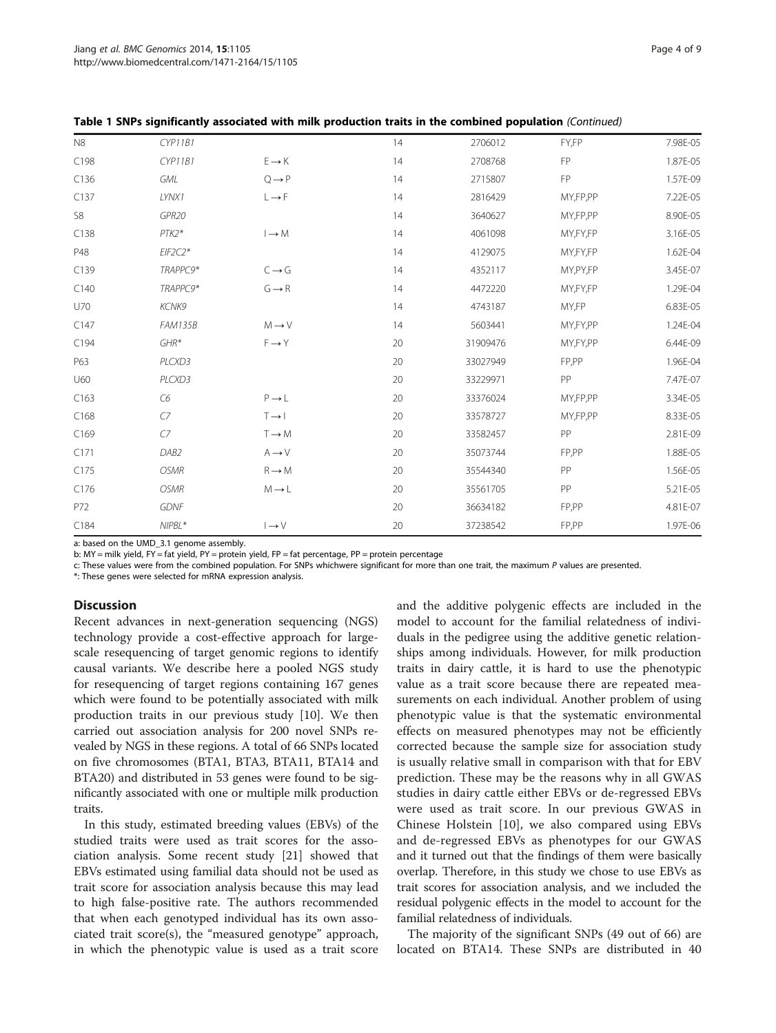| N8   | CYP11B1        |                   | 14 | 2706012  | FY,FP      | 7.98E-05 |
|------|----------------|-------------------|----|----------|------------|----------|
| C198 | CYP11B1        | $E \rightarrow K$ | 14 | 2708768  | FP         | 1.87E-05 |
| C136 | GML            | $Q \rightarrow P$ | 14 | 2715807  | FP         | 1.57E-09 |
| C137 | LYNX1          | $L \rightarrow F$ | 14 | 2816429  | MY,FP,PP   | 7.22E-05 |
| S8   | GPR20          |                   | 14 | 3640627  | MY,FP,PP   | 8.90E-05 |
| C138 | $PTK2*$        | $I \rightarrow M$ | 14 | 4061098  | MY,FY,FP   | 3.16E-05 |
| P48  | $EIF2C2*$      |                   | 14 | 4129075  | MY,FY,FP   | 1.62E-04 |
| C139 | TRAPPC9*       | $C \rightarrow G$ | 14 | 4352117  | MY, PY, FP | 3.45E-07 |
| C140 | TRAPPC9*       | $G \rightarrow R$ | 14 | 4472220  | MY,FY,FP   | 1.29E-04 |
| U70  | KCNK9          |                   | 14 | 4743187  | MY,FP      | 6.83E-05 |
| C147 | <b>FAM135B</b> | $M \rightarrow V$ | 14 | 5603441  | MY,FY,PP   | 1.24E-04 |
| C194 | $GHR*$         | $F \rightarrow Y$ | 20 | 31909476 | MY,FY,PP   | 6.44E-09 |
| P63  | PLCXD3         |                   | 20 | 33027949 | FP,PP      | 1.96E-04 |
| U60  | PLCXD3         |                   | 20 | 33229971 | PP         | 7.47E-07 |
| C163 | C <sub>6</sub> | $P \rightarrow L$ | 20 | 33376024 | MY,FP,PP   | 3.34E-05 |
| C168 | $C$ 7          | $T \rightarrow 1$ | 20 | 33578727 | MY,FP,PP   | 8.33E-05 |
| C169 | $C$ 7          | $T \rightarrow M$ | 20 | 33582457 | PP         | 2.81E-09 |
| C171 | DAB2           | $A \rightarrow V$ | 20 | 35073744 | FP,PP      | 1.88E-05 |
| C175 | <b>OSMR</b>    | $R \rightarrow M$ | 20 | 35544340 | PP         | 1.56E-05 |
| C176 | <b>OSMR</b>    | $M \rightarrow L$ | 20 | 35561705 | PP         | 5.21E-05 |
| P72  | <b>GDNF</b>    |                   | 20 | 36634182 | FP,PP      | 4.81E-07 |
| C184 | NIPBL*         | $\rightarrow$ V   | 20 | 37238542 | FP,PP      | 1.97E-06 |

Table 1 SNPs significantly associated with milk production traits in the combined population (Continued)

a: based on the UMD\_3.1 genome assembly.

b: MY = milk yield, FY = fat yield, PY = protein yield, FP = fat percentage, PP = protein percentage

c: These values were from the combined population. For SNPs whichwere significant for more than one trait, the maximum P values are presented.

\*: These genes were selected for mRNA expression analysis.

#### **Discussion**

Recent advances in next-generation sequencing (NGS) technology provide a cost-effective approach for largescale resequencing of target genomic regions to identify causal variants. We describe here a pooled NGS study for resequencing of target regions containing 167 genes which were found to be potentially associated with milk production traits in our previous study [\[10](#page-8-0)]. We then carried out association analysis for 200 novel SNPs revealed by NGS in these regions. A total of 66 SNPs located on five chromosomes (BTA1, BTA3, BTA11, BTA14 and BTA20) and distributed in 53 genes were found to be significantly associated with one or multiple milk production traits.

In this study, estimated breeding values (EBVs) of the studied traits were used as trait scores for the association analysis. Some recent study [[21](#page-8-0)] showed that EBVs estimated using familial data should not be used as trait score for association analysis because this may lead to high false-positive rate. The authors recommended that when each genotyped individual has its own associated trait score(s), the "measured genotype" approach, in which the phenotypic value is used as a trait score and the additive polygenic effects are included in the model to account for the familial relatedness of individuals in the pedigree using the additive genetic relationships among individuals. However, for milk production traits in dairy cattle, it is hard to use the phenotypic value as a trait score because there are repeated measurements on each individual. Another problem of using phenotypic value is that the systematic environmental effects on measured phenotypes may not be efficiently corrected because the sample size for association study is usually relative small in comparison with that for EBV prediction. These may be the reasons why in all GWAS studies in dairy cattle either EBVs or de-regressed EBVs were used as trait score. In our previous GWAS in Chinese Holstein [\[10](#page-8-0)], we also compared using EBVs and de-regressed EBVs as phenotypes for our GWAS and it turned out that the findings of them were basically overlap. Therefore, in this study we chose to use EBVs as trait scores for association analysis, and we included the residual polygenic effects in the model to account for the familial relatedness of individuals.

The majority of the significant SNPs (49 out of 66) are located on BTA14. These SNPs are distributed in 40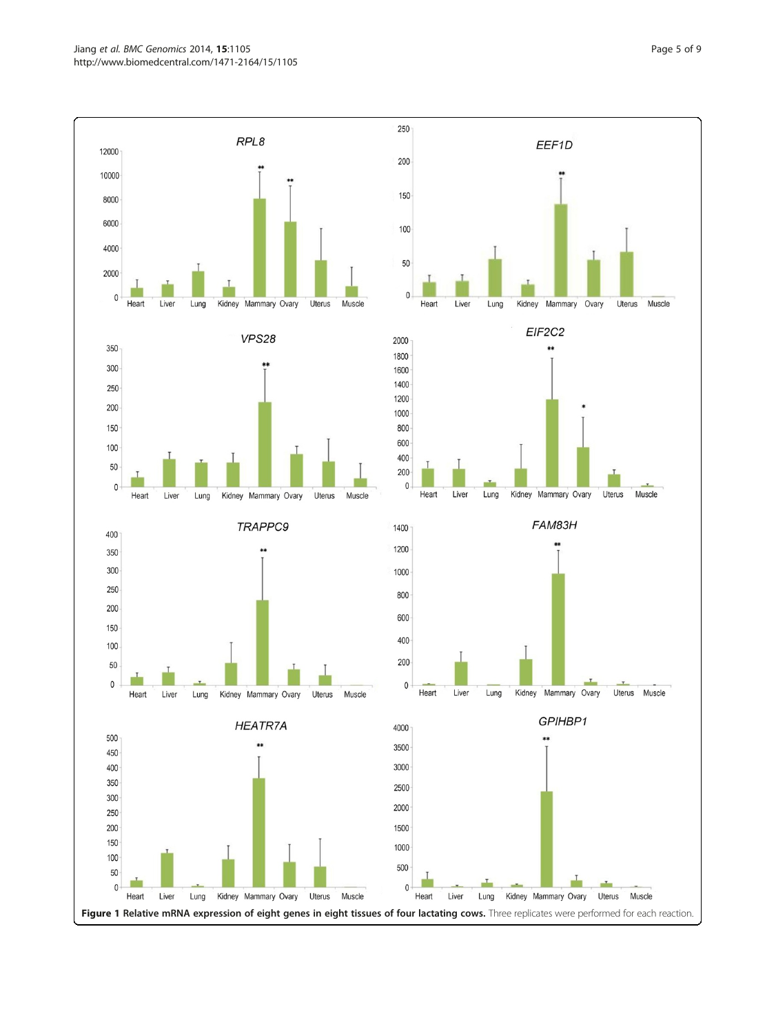<span id="page-4-0"></span>Jiang et al. BMC Genomics 2014, 15:1105 **Page 1 of 9** Page 5 of 9 http://www.biomedcentral.com/1471-2164/15/1105



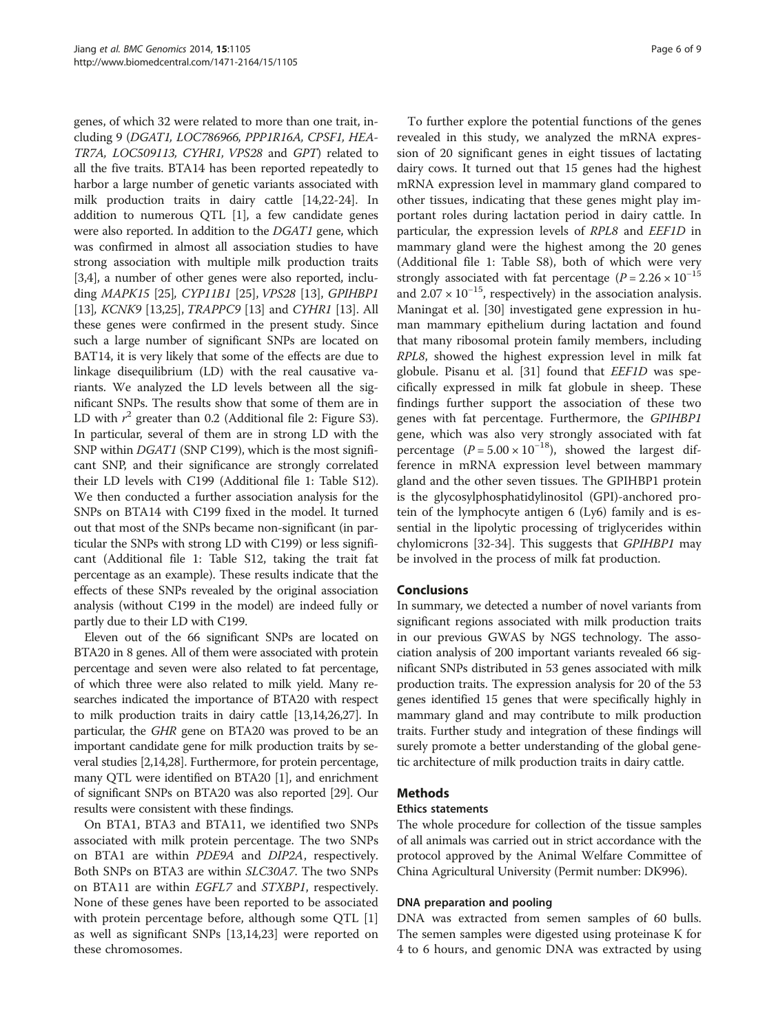genes, of which 32 were related to more than one trait, including 9 (DGAT1, LOC786966, PPP1R16A, CPSF1, HEA-TR7A, LOC509113, CYHR1, VPS28 and GPT) related to all the five traits. BTA14 has been reported repeatedly to harbor a large number of genetic variants associated with milk production traits in dairy cattle [\[14,22-24\]](#page-8-0). In addition to numerous  $QTL$  [\[1](#page-7-0)], a few candidate genes were also reported. In addition to the DGAT1 gene, which was confirmed in almost all association studies to have strong association with multiple milk production traits [[3,4](#page-8-0)], a number of other genes were also reported, including MAPK15 [\[25\]](#page-8-0), CYP11B1 [[25](#page-8-0)], VPS28 [[13](#page-8-0)], GPIHBP1 [[13](#page-8-0)], *KCNK9* [[13,25](#page-8-0)], *TRAPPC9* [13] and *CYHR1* [13]. All these genes were confirmed in the present study. Since such a large number of significant SNPs are located on BAT14, it is very likely that some of the effects are due to linkage disequilibrium (LD) with the real causative variants. We analyzed the LD levels between all the significant SNPs. The results show that some of them are in LD with  $r^2$  greater than 0.2 (Additional file [2](#page-7-0): Figure S3). In particular, several of them are in strong LD with the SNP within DGAT1 (SNP C199), which is the most significant SNP, and their significance are strongly correlated their LD levels with C199 (Additional file [1:](#page-7-0) Table S12). We then conducted a further association analysis for the SNPs on BTA14 with C199 fixed in the model. It turned out that most of the SNPs became non-significant (in particular the SNPs with strong LD with C199) or less significant (Additional file [1:](#page-7-0) Table S12, taking the trait fat percentage as an example). These results indicate that the effects of these SNPs revealed by the original association analysis (without C199 in the model) are indeed fully or partly due to their LD with C199.

Eleven out of the 66 significant SNPs are located on BTA20 in 8 genes. All of them were associated with protein percentage and seven were also related to fat percentage, of which three were also related to milk yield. Many researches indicated the importance of BTA20 with respect to milk production traits in dairy cattle [\[13,14,26,27\]](#page-8-0). In particular, the GHR gene on BTA20 was proved to be an important candidate gene for milk production traits by several studies [[2,14,28\]](#page-8-0). Furthermore, for protein percentage, many QTL were identified on BTA20 [\[1\]](#page-7-0), and enrichment of significant SNPs on BTA20 was also reported [\[29\]](#page-8-0). Our results were consistent with these findings.

On BTA1, BTA3 and BTA11, we identified two SNPs associated with milk protein percentage. The two SNPs on BTA1 are within PDE9A and DIP2A, respectively. Both SNPs on BTA3 are within SLC30A7. The two SNPs on BTA11 are within EGFL7 and STXBP1, respectively. None of these genes have been reported to be associated with protein percentage before, although some QTL [\[1](#page-7-0)] as well as significant SNPs [[13](#page-8-0),[14](#page-8-0),[23](#page-8-0)] were reported on these chromosomes.

To further explore the potential functions of the genes revealed in this study, we analyzed the mRNA expression of 20 significant genes in eight tissues of lactating dairy cows. It turned out that 15 genes had the highest mRNA expression level in mammary gland compared to other tissues, indicating that these genes might play important roles during lactation period in dairy cattle. In particular, the expression levels of RPL8 and EEF1D in mammary gland were the highest among the 20 genes (Additional file [1:](#page-7-0) Table S8), both of which were very strongly associated with fat percentage ( $P = 2.26 \times 10^{-15}$ and  $2.07 \times 10^{-15}$ , respectively) in the association analysis. Maningat et al. [[30\]](#page-8-0) investigated gene expression in human mammary epithelium during lactation and found that many ribosomal protein family members, including RPL8, showed the highest expression level in milk fat globule. Pisanu et al. [\[31\]](#page-8-0) found that EEF1D was specifically expressed in milk fat globule in sheep. These findings further support the association of these two genes with fat percentage. Furthermore, the GPIHBP1 gene, which was also very strongly associated with fat percentage  $(P = 5.00 \times 10^{-18})$ , showed the largest difference in mRNA expression level between mammary gland and the other seven tissues. The GPIHBP1 protein is the glycosylphosphatidylinositol (GPI)-anchored protein of the lymphocyte antigen 6 (Ly6) family and is essential in the lipolytic processing of triglycerides within chylomicrons [[32](#page-8-0)-[34\]](#page-8-0). This suggests that GPIHBP1 may be involved in the process of milk fat production.

## **Conclusions**

In summary, we detected a number of novel variants from significant regions associated with milk production traits in our previous GWAS by NGS technology. The association analysis of 200 important variants revealed 66 significant SNPs distributed in 53 genes associated with milk production traits. The expression analysis for 20 of the 53 genes identified 15 genes that were specifically highly in mammary gland and may contribute to milk production traits. Further study and integration of these findings will surely promote a better understanding of the global genetic architecture of milk production traits in dairy cattle.

## Methods

## Ethics statements

The whole procedure for collection of the tissue samples of all animals was carried out in strict accordance with the protocol approved by the Animal Welfare Committee of China Agricultural University (Permit number: DK996).

## DNA preparation and pooling

DNA was extracted from semen samples of 60 bulls. The semen samples were digested using proteinase K for 4 to 6 hours, and genomic DNA was extracted by using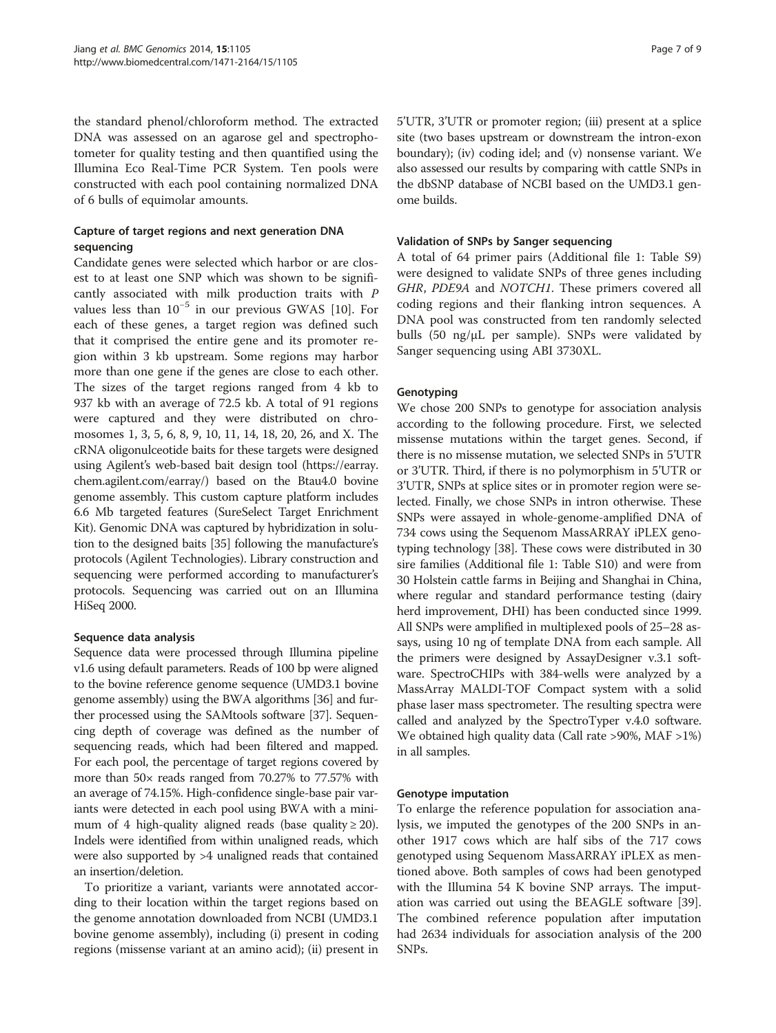the standard phenol/chloroform method. The extracted DNA was assessed on an agarose gel and spectrophotometer for quality testing and then quantified using the Illumina Eco Real-Time PCR System. Ten pools were constructed with each pool containing normalized DNA of 6 bulls of equimolar amounts.

## Capture of target regions and next generation DNA sequencing

Candidate genes were selected which harbor or are closest to at least one SNP which was shown to be significantly associated with milk production traits with P values less than 10−<sup>5</sup> in our previous GWAS [\[10\]](#page-8-0). For each of these genes, a target region was defined such that it comprised the entire gene and its promoter region within 3 kb upstream. Some regions may harbor more than one gene if the genes are close to each other. The sizes of the target regions ranged from 4 kb to 937 kb with an average of 72.5 kb. A total of 91 regions were captured and they were distributed on chromosomes 1, 3, 5, 6, 8, 9, 10, 11, 14, 18, 20, 26, and X. The cRNA oligonulceotide baits for these targets were designed using Agilent's web-based bait design tool [\(https://earray.](https://earray.chem.agilent.com/earray/) [chem.agilent.com/earray/](https://earray.chem.agilent.com/earray/)) based on the Btau4.0 bovine genome assembly. This custom capture platform includes 6.6 Mb targeted features (SureSelect Target Enrichment Kit). Genomic DNA was captured by hybridization in solution to the designed baits [\[35](#page-8-0)] following the manufacture's protocols (Agilent Technologies). Library construction and sequencing were performed according to manufacturer's protocols. Sequencing was carried out on an Illumina HiSeq 2000.

## Sequence data analysis

Sequence data were processed through Illumina pipeline v1.6 using default parameters. Reads of 100 bp were aligned to the bovine reference genome sequence (UMD3.1 bovine genome assembly) using the BWA algorithms [\[36\]](#page-8-0) and further processed using the SAMtools software [\[37\]](#page-8-0). Sequencing depth of coverage was defined as the number of sequencing reads, which had been filtered and mapped. For each pool, the percentage of target regions covered by more than 50× reads ranged from 70.27% to 77.57% with an average of 74.15%. High-confidence single-base pair variants were detected in each pool using BWA with a minimum of 4 high-quality aligned reads (base quality  $\geq$  20). Indels were identified from within unaligned reads, which were also supported by >4 unaligned reads that contained an insertion/deletion.

To prioritize a variant, variants were annotated according to their location within the target regions based on the genome annotation downloaded from NCBI (UMD3.1 bovine genome assembly), including (i) present in coding regions (missense variant at an amino acid); (ii) present in 5'UTR, 3'UTR or promoter region; (iii) present at a splice site (two bases upstream or downstream the intron-exon boundary); (iv) coding idel; and (v) nonsense variant. We also assessed our results by comparing with cattle SNPs in the dbSNP database of NCBI based on the UMD3.1 genome builds.

## Validation of SNPs by Sanger sequencing

A total of 64 primer pairs (Additional file [1:](#page-7-0) Table S9) were designed to validate SNPs of three genes including GHR, PDE9A and NOTCH1. These primers covered all coding regions and their flanking intron sequences. A DNA pool was constructed from ten randomly selected bulls (50 ng/μL per sample). SNPs were validated by Sanger sequencing using ABI 3730XL.

## **Genotyping**

We chose 200 SNPs to genotype for association analysis according to the following procedure. First, we selected missense mutations within the target genes. Second, if there is no missense mutation, we selected SNPs in 5'UTR or 3'UTR. Third, if there is no polymorphism in 5'UTR or 3'UTR, SNPs at splice sites or in promoter region were selected. Finally, we chose SNPs in intron otherwise. These SNPs were assayed in whole-genome-amplified DNA of 734 cows using the Sequenom MassARRAY iPLEX genotyping technology [\[38](#page-8-0)]. These cows were distributed in 30 sire families (Additional file [1](#page-7-0): Table S10) and were from 30 Holstein cattle farms in Beijing and Shanghai in China, where regular and standard performance testing (dairy herd improvement, DHI) has been conducted since 1999. All SNPs were amplified in multiplexed pools of 25–28 assays, using 10 ng of template DNA from each sample. All the primers were designed by AssayDesigner v.3.1 software. SpectroCHIPs with 384-wells were analyzed by a MassArray MALDI-TOF Compact system with a solid phase laser mass spectrometer. The resulting spectra were called and analyzed by the SpectroTyper v.4.0 software. We obtained high quality data (Call rate >90%, MAF >1%) in all samples.

## Genotype imputation

To enlarge the reference population for association analysis, we imputed the genotypes of the 200 SNPs in another 1917 cows which are half sibs of the 717 cows genotyped using Sequenom MassARRAY iPLEX as mentioned above. Both samples of cows had been genotyped with the Illumina 54 K bovine SNP arrays. The imputation was carried out using the BEAGLE software [\[39](#page-8-0)]. The combined reference population after imputation had 2634 individuals for association analysis of the 200 SNPs.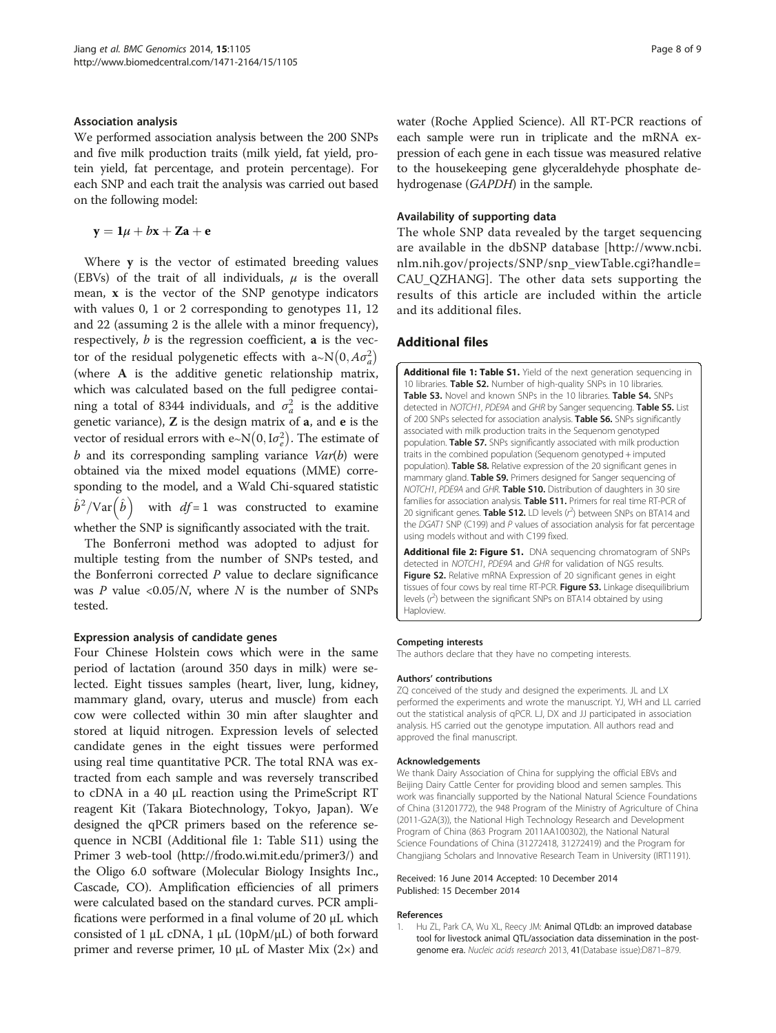#### <span id="page-7-0"></span>Association analysis

We performed association analysis between the 200 SNPs and five milk production traits (milk yield, fat yield, protein yield, fat percentage, and protein percentage). For each SNP and each trait the analysis was carried out based on the following model:

 $y = 1\mu + bx + Za + e$ 

Where y is the vector of estimated breeding values (EBVs) of the trait of all individuals,  $\mu$  is the overall mean,  $x$  is the vector of the SNP genotype indicators with values 0, 1 or 2 corresponding to genotypes 11, 12 and 22 (assuming 2 is the allele with a minor frequency), respectively,  $b$  is the regression coefficient, **a** is the vector of the residual polygenetic effects with a~N $(0, A\sigma_a^2)$ (where A is the additive genetic relationship matrix, which was calculated based on the full pedigree containing a total of 8344 individuals, and  $\sigma_a^2$  is the additive genetic variance),  $Z$  is the design matrix of  $a$ , and  $e$  is the vector of residual errors with e∼N $(0, \mathrm{I}\sigma^2_e)$ . The estimate of  $b$  and its corresponding sampling variance  $Var(b)$  were obtained via the mixed model equations (MME) corresponding to the model, and a Wald Chi-squared statistic  $\hat{b}^2/{\rm Var}\big(\hat{b}\big)$  with  $df$ =1 was constructed to examine whether the SNP is significantly associated with the trait.

The Bonferroni method was adopted to adjust for multiple testing from the number of SNPs tested, and the Bonferroni corrected  $P$  value to declare significance was  $P$  value <0.05/ $N$ , where  $N$  is the number of SNPs tested.

#### Expression analysis of candidate genes

Four Chinese Holstein cows which were in the same period of lactation (around 350 days in milk) were selected. Eight tissues samples (heart, liver, lung, kidney, mammary gland, ovary, uterus and muscle) from each cow were collected within 30 min after slaughter and stored at liquid nitrogen. Expression levels of selected candidate genes in the eight tissues were performed using real time quantitative PCR. The total RNA was extracted from each sample and was reversely transcribed to cDNA in a 40 μL reaction using the PrimeScript RT reagent Kit (Takara Biotechnology, Tokyo, Japan). We designed the qPCR primers based on the reference sequence in NCBI (Additional file 1: Table S11) using the Primer 3 web-tool [\(http://frodo.wi.mit.edu/primer3/\)](http://frodo.wi.mit.edu/primer3/) and the Oligo 6.0 software (Molecular Biology Insights Inc., Cascade, CO). Amplification efficiencies of all primers were calculated based on the standard curves. PCR amplifications were performed in a final volume of 20 μL which consisted of 1 μL cDNA, 1 μL (10pM/μL) of both forward primer and reverse primer, 10 μL of Master Mix  $(2×)$  and

water (Roche Applied Science). All RT-PCR reactions of each sample were run in triplicate and the mRNA expression of each gene in each tissue was measured relative to the housekeeping gene glyceraldehyde phosphate dehydrogenase (GAPDH) in the sample.

#### Availability of supporting data

The whole SNP data revealed by the target sequencing are available in the dbSNP database [\[http://www.ncbi.](http://www.ncbi.nlm.nih.gov/projects/SNP/snp_viewTable.cgi?handle=CAU_QZHANG) [nlm.nih.gov/projects/SNP/snp\\_viewTable.cgi?handle=](http://www.ncbi.nlm.nih.gov/projects/SNP/snp_viewTable.cgi?handle=CAU_QZHANG) [CAU\\_QZHANG](http://www.ncbi.nlm.nih.gov/projects/SNP/snp_viewTable.cgi?handle=CAU_QZHANG)]. The other data sets supporting the results of this article are included within the article and its additional files.

## Additional files

[Additional file 1: Table S1.](http://www.biomedcentral.com/content/supplementary/1471-2164-15-1105-S1.doc) Yield of the next generation sequencing in 10 libraries. Table S2. Number of high-quality SNPs in 10 libraries Table S3. Novel and known SNPs in the 10 libraries. Table S4. SNPs detected in NOTCH1, PDE9A and GHR by Sanger sequencing. Table S5. List of 200 SNPs selected for association analysis. Table S6. SNPs significantly associated with milk production traits in the Sequenom genotyped population. Table S7. SNPs significantly associated with milk production traits in the combined population (Sequenom genotyped + imputed population). Table S8. Relative expression of the 20 significant genes in mammary gland. Table S9. Primers designed for Sanger sequencing of NOTCH1, PDE9A and GHR. Table S10. Distribution of daughters in 30 sire families for association analysis. Table S11. Primers for real time RT-PCR of 20 significant genes. Table S12. LD levels (r<sup>2</sup>) between SNPs on BTA14 and the DGAT1 SNP (C199) and P values of association analysis for fat percentage using models without and with C199 fixed.

[Additional file 2: Figure S1.](http://www.biomedcentral.com/content/supplementary/1471-2164-15-1105-S2.doc) DNA sequencing chromatogram of SNPs detected in NOTCH1, PDE9A and GHR for validation of NGS results. Figure S2. Relative mRNA Expression of 20 significant genes in eight tissues of four cows by real time RT-PCR. Figure S3. Linkage disequilibrium levels  $(r^2)$  between the significant SNPs on BTA14 obtained by using **Haploview** 

#### Competing interests

The authors declare that they have no competing interests.

#### Authors' contributions

ZQ conceived of the study and designed the experiments. JL and LX performed the experiments and wrote the manuscript. YJ, WH and LL carried out the statistical analysis of qPCR. LJ, DX and JJ participated in association analysis. HS carried out the genotype imputation. All authors read and approved the final manuscript.

#### Acknowledgements

We thank Dairy Association of China for supplying the official EBVs and Beijing Dairy Cattle Center for providing blood and semen samples. This work was financially supported by the National Natural Science Foundations of China (31201772), the 948 Program of the Ministry of Agriculture of China (2011-G2A(3)), the National High Technology Research and Development Program of China (863 Program 2011AA100302), the National Natural Science Foundations of China (31272418, 31272419) and the Program for Changjiang Scholars and Innovative Research Team in University (IRT1191).

#### Received: 16 June 2014 Accepted: 10 December 2014 Published: 15 December 2014

#### References

1. Hu ZL, Park CA, Wu XL, Reecy JM: Animal QTLdb: an improved database tool for livestock animal QTL/association data dissemination in the postgenome era. Nucleic acids research 2013, 41(Database issue):D871–879.